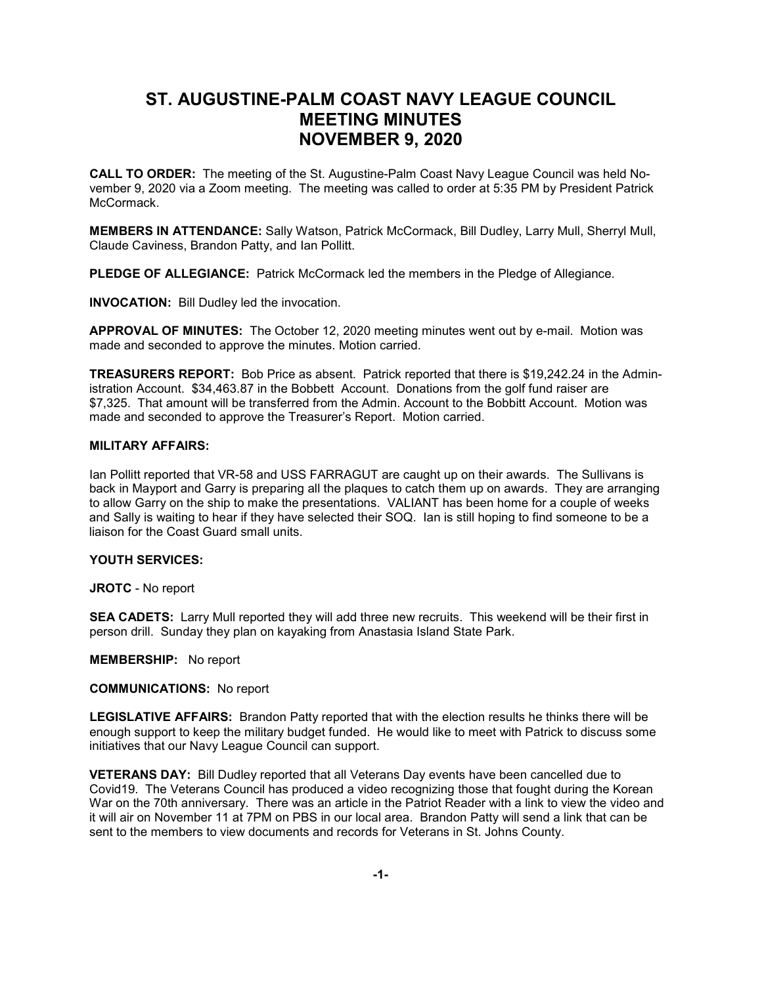# **ST. AUGUSTINE-PALM COAST NAVY LEAGUE COUNCIL MEETING MINUTES NOVEMBER 9, 2020**

**CALL TO ORDER:** The meeting of the St. Augustine-Palm Coast Navy League Council was held November 9, 2020 via a Zoom meeting. The meeting was called to order at 5:35 PM by President Patrick McCormack.

**MEMBERS IN ATTENDANCE:** Sally Watson, Patrick McCormack, Bill Dudley, Larry Mull, Sherryl Mull, Claude Caviness, Brandon Patty, and Ian Pollitt.

**PLEDGE OF ALLEGIANCE:** Patrick McCormack led the members in the Pledge of Allegiance.

**INVOCATION:** Bill Dudley led the invocation.

**APPROVAL OF MINUTES:** The October 12, 2020 meeting minutes went out by e-mail. Motion was made and seconded to approve the minutes. Motion carried.

**TREASURERS REPORT:** Bob Price as absent. Patrick reported that there is \$19,242.24 in the Administration Account. \$34,463.87 in the Bobbett Account. Donations from the golf fund raiser are \$7,325. That amount will be transferred from the Admin. Account to the Bobbitt Account. Motion was made and seconded to approve the Treasurer's Report. Motion carried.

### **MILITARY AFFAIRS:**

Ian Pollitt reported that VR-58 and USS FARRAGUT are caught up on their awards. The Sullivans is back in Mayport and Garry is preparing all the plaques to catch them up on awards. They are arranging to allow Garry on the ship to make the presentations. VALIANT has been home for a couple of weeks and Sally is waiting to hear if they have selected their SOQ. Ian is still hoping to find someone to be a liaison for the Coast Guard small units.

#### **YOUTH SERVICES:**

**JROTC** - No report

**SEA CADETS:** Larry Mull reported they will add three new recruits. This weekend will be their first in person drill. Sunday they plan on kayaking from Anastasia Island State Park.

## **MEMBERSHIP:** No report

#### **COMMUNICATIONS:** No report

**LEGISLATIVE AFFAIRS:** Brandon Patty reported that with the election results he thinks there will be enough support to keep the military budget funded. He would like to meet with Patrick to discuss some initiatives that our Navy League Council can support.

**VETERANS DAY:** Bill Dudley reported that all Veterans Day events have been cancelled due to Covid19. The Veterans Council has produced a video recognizing those that fought during the Korean War on the 70th anniversary. There was an article in the Patriot Reader with a link to view the video and it will air on November 11 at 7PM on PBS in our local area. Brandon Patty will send a link that can be sent to the members to view documents and records for Veterans in St. Johns County.